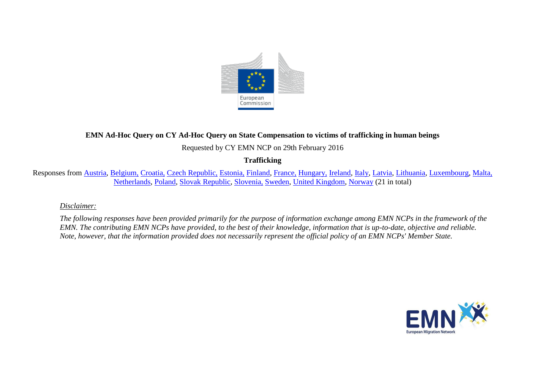

# **EMN Ad-Hoc Query on CY Ad-Hoc Query on State Compensation to victims of trafficking in human beings**

Requested by CY EMN NCP on 29th February 2016

## **Trafficking**

Responses from [Austria,](#page-1-0) [Belgium,](#page-2-0) [Croatia,](#page-3-0) [Czech Republic,](#page-4-0) [Estonia,](#page-5-0) [Finland,](#page-9-0) [France,](#page-9-1) [Hungary,](#page-9-2) [Ireland,](#page-11-0) [Italy,](#page-14-0) [Latvia,](#page-15-0) [Lithuania,](#page-17-0) [Luxembourg,](#page-18-0) [Malta,](#page-18-1) [Netherlands,](#page-18-2) [Poland,](#page-19-0) [Slovak Republic,](#page-20-0) [Slovenia,](#page-20-1) [Sweden,](#page-22-0) [United Kingdom,](#page-23-0) [Norway](#page-25-0) (21 in total)

#### *Disclaimer:*

*The following responses have been provided primarily for the purpose of information exchange among EMN NCPs in the framework of the EMN. The contributing EMN NCPs have provided, to the best of their knowledge, information that is up-to-date, objective and reliable. Note, however, that the information provided does not necessarily represent the official policy of an EMN NCPs' Member State.*

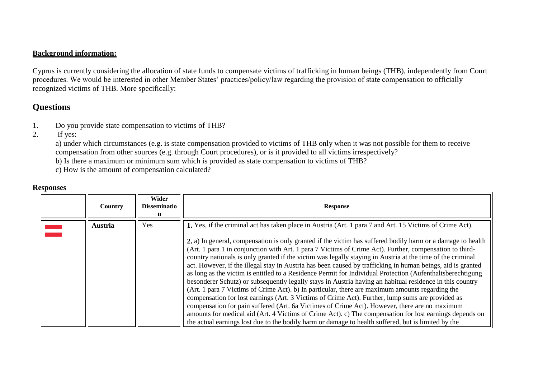#### **Background information:**

Cyprus is currently considering the allocation of state funds to compensate victims of trafficking in human beings (THB), independently from Court procedures. We would be interested in other Member States' practices/policy/law regarding the provision of state compensation to officially recognized victims of THB. More specifically:

# **Questions**

- 1. Do you provide state compensation to victims of THB?
- 2. If yes:

a) under which circumstances (e.g. is state compensation provided to victims of THB only when it was not possible for them to receive compensation from other sources (e.g. through Court procedures), or is it provided to all victims irrespectively?

- b) Is there a maximum or minimum sum which is provided as state compensation to victims of THB?
- c) How is the amount of compensation calculated?

### **Responses**

<span id="page-1-0"></span>

| Country | Wider<br><b>Disseminatio</b> | <b>Response</b>                                                                                                                                                                                                                                                                                                                                                                                                                                                                                                                                                                                                                                                                                                                                                                                                                                                                                                                                                                                                                                                                                                                                                                                                                                                                                                      |
|---------|------------------------------|----------------------------------------------------------------------------------------------------------------------------------------------------------------------------------------------------------------------------------------------------------------------------------------------------------------------------------------------------------------------------------------------------------------------------------------------------------------------------------------------------------------------------------------------------------------------------------------------------------------------------------------------------------------------------------------------------------------------------------------------------------------------------------------------------------------------------------------------------------------------------------------------------------------------------------------------------------------------------------------------------------------------------------------------------------------------------------------------------------------------------------------------------------------------------------------------------------------------------------------------------------------------------------------------------------------------|
| Austria | Yes                          | 1. Yes, if the criminal act has taken place in Austria (Art. 1 para 7 and Art. 15 Victims of Crime Act).<br>2. a) In general, compensation is only granted if the victim has suffered bodily harm or a damage to health<br>(Art. 1 para 1 in conjunction with Art. 1 para 7 Victims of Crime Act). Further, compensation to third-<br>country nationals is only granted if the victim was legally staying in Austria at the time of the criminal<br>act. However, if the illegal stay in Austria has been caused by trafficking in human beings, aid is granted<br>as long as the victim is entitled to a Residence Permit for Individual Protection (Aufenthaltsberechtigung)<br>besonderer Schutz) or subsequently legally stays in Austria having an habitual residence in this country<br>(Art. 1 para 7 Victims of Crime Act). b) In particular, there are maximum amounts regarding the<br>compensation for lost earnings (Art. 3 Victims of Crime Act). Further, lump sums are provided as<br>compensation for pain suffered (Art. 6a Victimes of Crime Act). However, there are no maximum<br>amounts for medical aid (Art. 4 Victims of Crime Act). c) The compensation for lost earnings depends on<br>the actual earnings lost due to the bodily harm or damage to health suffered, but is limited by the |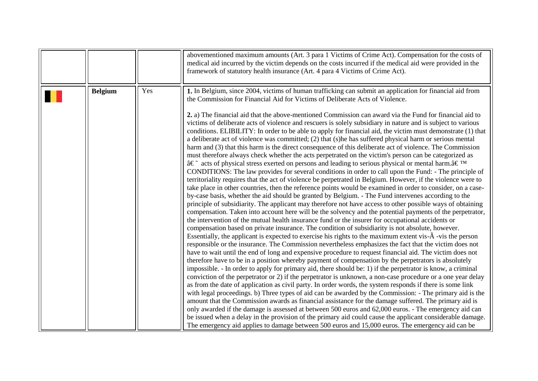<span id="page-2-0"></span>

|                |     | abovementioned maximum amounts (Art. 3 para 1 Victims of Crime Act). Compensation for the costs of<br>medical aid incurred by the victim depends on the costs incurred if the medical aid were provided in the<br>framework of statutory health insurance (Art. 4 para 4 Victims of Crime Act).                                                                                                                                                                                                                                                                                                                                                                                                                                                                                                                                                                                                                                                                                                                                                                                                                                                                                                                                                                                                                                                                                                                                                                                                                                                                                                                                                                                                                                                                                                                                                                                                                                                                                                                                                                                                                                                                                                                                                                                                                                                                                   |
|----------------|-----|-----------------------------------------------------------------------------------------------------------------------------------------------------------------------------------------------------------------------------------------------------------------------------------------------------------------------------------------------------------------------------------------------------------------------------------------------------------------------------------------------------------------------------------------------------------------------------------------------------------------------------------------------------------------------------------------------------------------------------------------------------------------------------------------------------------------------------------------------------------------------------------------------------------------------------------------------------------------------------------------------------------------------------------------------------------------------------------------------------------------------------------------------------------------------------------------------------------------------------------------------------------------------------------------------------------------------------------------------------------------------------------------------------------------------------------------------------------------------------------------------------------------------------------------------------------------------------------------------------------------------------------------------------------------------------------------------------------------------------------------------------------------------------------------------------------------------------------------------------------------------------------------------------------------------------------------------------------------------------------------------------------------------------------------------------------------------------------------------------------------------------------------------------------------------------------------------------------------------------------------------------------------------------------------------------------------------------------------------------------------------------------|
| <b>Belgium</b> | Yes | 1. In Belgium, since 2004, victims of human trafficking can submit an application for financial aid from<br>the Commission for Financial Aid for Victims of Deliberate Acts of Violence.<br>2. a) The financial aid that the above-mentioned Commission can award via the Fund for financial aid to<br>victims of deliberate acts of violence and rescuers is solely subsidiary in nature and is subject to various<br>conditions. ELIBILITY: In order to be able to apply for financial aid, the victim must demonstrate (1) that<br>a deliberate act of violence was committed; (2) that (s)he has suffered physical harm or serious mental<br>harm and (3) that this harm is the direct consequence of this deliberate act of violence. The Commission<br>must therefore always check whether the acts perpetrated on the victim's person can be categorized as<br>$\hat{a} \in \tilde{\mathbb{C}}$ acts of physical stress exerted on persons and leading to serious physical or mental harm. $\hat{a} \in \mathbb{C}^{\mathbb{N}}$<br>CONDITIONS: The law provides for several conditions in order to call upon the Fund: - The principle of<br>territoriality requires that the act of violence be perpetrated in Belgium. However, if the violence were to<br>take place in other countries, then the reference points would be examined in order to consider, on a case-<br>by-case basis, whether the aid should be granted by Belgium. - The Fund intervenes according to the<br>principle of subsidiarity. The applicant may therefore not have access to other possible ways of obtaining<br>compensation. Taken into account here will be the solvency and the potential payments of the perpetrator,<br>the intervention of the mutual health insurance fund or the insurer for occupational accidents or<br>compensation based on private insurance. The condition of subsidiarity is not absolute, however.<br>Essentially, the applicant is expected to exercise his rights to the maximum extent vis- $\tilde{A}$ -vis the person<br>responsible or the insurance. The Commission nevertheless emphasizes the fact that the victim does not<br>have to wait until the end of long and expensive procedure to request financial aid. The victim does not<br>therefore have to be in a position whereby payment of compensation by the perpetrators is absolutely |
|                |     | impossible. - In order to apply for primary aid, there should be: 1) if the perpetrator is know, a criminal<br>conviction of the perpetrator or 2) if the perpetrator is unknown, a non-case procedure or a one year delay<br>as from the date of application as civil party. In order words, the system responds if there is some link<br>with legal proceedings. b) Three types of aid can be awarded by the Commission: - The primary aid is the<br>amount that the Commission awards as financial assistance for the damage suffered. The primary aid is<br>only awarded if the damage is assessed at between 500 euros and 62,000 euros. - The emergency aid can<br>be issued when a delay in the provision of the primary aid could cause the applicant considerable damage.<br>The emergency aid applies to damage between 500 euros and 15,000 euros. The emergency aid can be                                                                                                                                                                                                                                                                                                                                                                                                                                                                                                                                                                                                                                                                                                                                                                                                                                                                                                                                                                                                                                                                                                                                                                                                                                                                                                                                                                                                                                                                                            |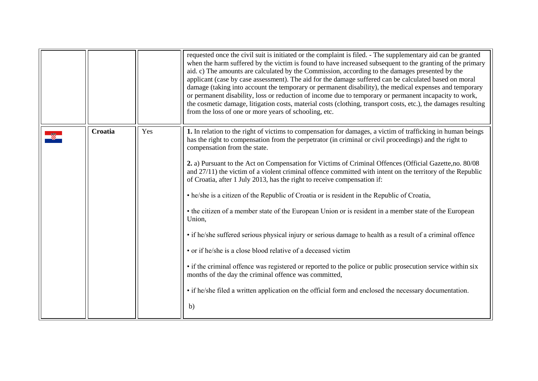<span id="page-3-0"></span>

|         |     | requested once the civil suit is initiated or the complaint is filed. - The supplementary aid can be granted<br>when the harm suffered by the victim is found to have increased subsequent to the granting of the primary<br>aid. c) The amounts are calculated by the Commission, according to the damages presented by the<br>applicant (case by case assessment). The aid for the damage suffered can be calculated based on moral<br>damage (taking into account the temporary or permanent disability), the medical expenses and temporary<br>or permanent disability, loss or reduction of income due to temporary or permanent incapacity to work,<br>the cosmetic damage, litigation costs, material costs (clothing, transport costs, etc.), the damages resulting<br>from the loss of one or more years of schooling, etc.                                                                                                                                                                                                                                                                                                                                                                                                                    |
|---------|-----|---------------------------------------------------------------------------------------------------------------------------------------------------------------------------------------------------------------------------------------------------------------------------------------------------------------------------------------------------------------------------------------------------------------------------------------------------------------------------------------------------------------------------------------------------------------------------------------------------------------------------------------------------------------------------------------------------------------------------------------------------------------------------------------------------------------------------------------------------------------------------------------------------------------------------------------------------------------------------------------------------------------------------------------------------------------------------------------------------------------------------------------------------------------------------------------------------------------------------------------------------------|
| Croatia | Yes | 1. In relation to the right of victims to compensation for damages, a victim of trafficking in human beings<br>has the right to compensation from the perpetrator (in criminal or civil proceedings) and the right to<br>compensation from the state.<br>2. a) Pursuant to the Act on Compensation for Victims of Criminal Offences (Official Gazette, no. 80/08<br>and $27/11$ ) the victim of a violent criminal offence committed with intent on the territory of the Republic<br>of Croatia, after 1 July 2013, has the right to receive compensation if:<br>• he/she is a citizen of the Republic of Croatia or is resident in the Republic of Croatia,<br>• the citizen of a member state of the European Union or is resident in a member state of the European<br>Union,<br>• if he/she suffered serious physical injury or serious damage to health as a result of a criminal offence<br>• or if he/she is a close blood relative of a deceased victim<br>• if the criminal offence was registered or reported to the police or public prosecution service within six<br>months of the day the criminal offence was committed,<br>• if he/she filed a written application on the official form and enclosed the necessary documentation.<br>b) |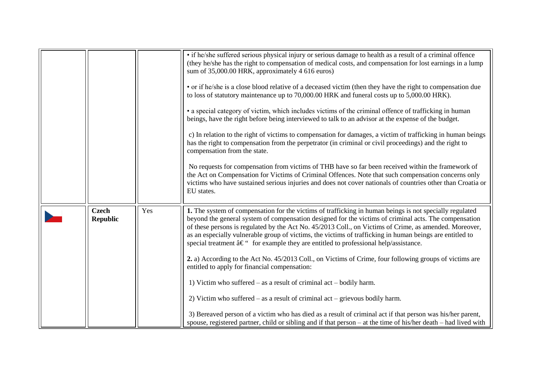<span id="page-4-0"></span>

|                                 |     | • if he/she suffered serious physical injury or serious damage to health as a result of a criminal offence<br>(they he/she has the right to compensation of medical costs, and compensation for lost earnings in a lump<br>sum of 35,000.00 HRK, approximately 4 616 euros)<br>• or if he/she is a close blood relative of a deceased victim (then they have the right to compensation due<br>to loss of statutory maintenance up to 70,000.00 HRK and funeral costs up to 5,000.00 HRK).<br>• a special category of victim, which includes victims of the criminal offence of trafficking in human<br>beings, have the right before being interviewed to talk to an advisor at the expense of the budget.<br>c) In relation to the right of victims to compensation for damages, a victim of trafficking in human beings<br>has the right to compensation from the perpetrator (in criminal or civil proceedings) and the right to<br>compensation from the state.<br>No requests for compensation from victims of THB have so far been received within the framework of<br>the Act on Compensation for Victims of Criminal Offences. Note that such compensation concerns only<br>victims who have sustained serious injuries and does not cover nationals of countries other than Croatia or<br>EU states. |
|---------------------------------|-----|---------------------------------------------------------------------------------------------------------------------------------------------------------------------------------------------------------------------------------------------------------------------------------------------------------------------------------------------------------------------------------------------------------------------------------------------------------------------------------------------------------------------------------------------------------------------------------------------------------------------------------------------------------------------------------------------------------------------------------------------------------------------------------------------------------------------------------------------------------------------------------------------------------------------------------------------------------------------------------------------------------------------------------------------------------------------------------------------------------------------------------------------------------------------------------------------------------------------------------------------------------------------------------------------------------------|
| <b>Czech</b><br><b>Republic</b> | Yes | 1. The system of compensation for the victims of trafficking in human beings is not specially regulated<br>beyond the general system of compensation designed for the victims of criminal acts. The compensation<br>of these persons is regulated by the Act No. 45/2013 Coll., on Victims of Crime, as amended. Moreover,<br>as an especially vulnerable group of victims, the victims of trafficking in human beings are entitled to<br>special treatment $\hat{a}\in$ " for example they are entitled to professional help/assistance.<br>2. a) According to the Act No. 45/2013 Coll., on Victims of Crime, four following groups of victims are<br>entitled to apply for financial compensation:<br>1) Victim who suffered $-$ as a result of criminal act $-$ bodily harm.<br>2) Victim who suffered $-$ as a result of criminal act $-$ grievous bodily harm.<br>3) Bereaved person of a victim who has died as a result of criminal act if that person was his/her parent,<br>spouse, registered partner, child or sibling and if that person – at the time of his/her death – had lived with                                                                                                                                                                                                         |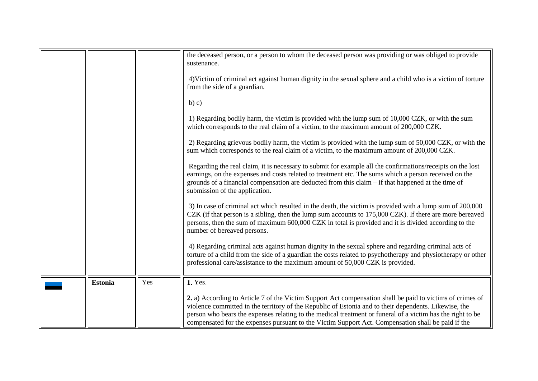<span id="page-5-0"></span>

|                |     | the deceased person, or a person to whom the deceased person was providing or was obliged to provide<br>sustenance.                                                                                                                                                                                                                                                                                                                    |
|----------------|-----|----------------------------------------------------------------------------------------------------------------------------------------------------------------------------------------------------------------------------------------------------------------------------------------------------------------------------------------------------------------------------------------------------------------------------------------|
|                |     | 4) Victim of criminal act against human dignity in the sexual sphere and a child who is a victim of torture<br>from the side of a guardian.                                                                                                                                                                                                                                                                                            |
|                |     | b) c)                                                                                                                                                                                                                                                                                                                                                                                                                                  |
|                |     | 1) Regarding bodily harm, the victim is provided with the lump sum of 10,000 CZK, or with the sum<br>which corresponds to the real claim of a victim, to the maximum amount of 200,000 CZK.                                                                                                                                                                                                                                            |
|                |     | 2) Regarding grievous bodily harm, the victim is provided with the lump sum of 50,000 CZK, or with the<br>sum which corresponds to the real claim of a victim, to the maximum amount of 200,000 CZK.                                                                                                                                                                                                                                   |
|                |     | Regarding the real claim, it is necessary to submit for example all the confirmations/receipts on the lost<br>earnings, on the expenses and costs related to treatment etc. The sums which a person received on the<br>grounds of a financial compensation are deducted from this claim $-$ if that happened at the time of<br>submission of the application.                                                                          |
|                |     | 3) In case of criminal act which resulted in the death, the victim is provided with a lump sum of 200,000<br>CZK (if that person is a sibling, then the lump sum accounts to 175,000 CZK). If there are more bereaved<br>persons, then the sum of maximum 600,000 CZK in total is provided and it is divided according to the<br>number of bereaved persons.                                                                           |
|                |     | 4) Regarding criminal acts against human dignity in the sexual sphere and regarding criminal acts of<br>torture of a child from the side of a guardian the costs related to psychotherapy and physiotherapy or other<br>professional care/assistance to the maximum amount of 50,000 CZK is provided.                                                                                                                                  |
| <b>Estonia</b> | Yes | 1. Yes.                                                                                                                                                                                                                                                                                                                                                                                                                                |
|                |     | 2. a) According to Article 7 of the Victim Support Act compensation shall be paid to victims of crimes of<br>violence committed in the territory of the Republic of Estonia and to their dependents. Likewise, the<br>person who bears the expenses relating to the medical treatment or funeral of a victim has the right to be<br>compensated for the expenses pursuant to the Victim Support Act. Compensation shall be paid if the |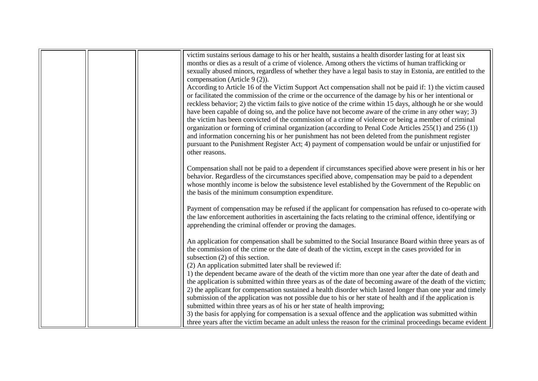|  | victim sustains serious damage to his or her health, sustains a health disorder lasting for at least six      |
|--|---------------------------------------------------------------------------------------------------------------|
|  | months or dies as a result of a crime of violence. Among others the victims of human trafficking or           |
|  | sexually abused minors, regardless of whether they have a legal basis to stay in Estonia, are entitled to the |
|  | compensation (Article 9 (2)).                                                                                 |
|  | According to Article 16 of the Victim Support Act compensation shall not be paid if: 1) the victim caused     |
|  | or facilitated the commission of the crime or the occurrence of the damage by his or her intentional or       |
|  | reckless behavior; 2) the victim fails to give notice of the crime within 15 days, although he or she would   |
|  | have been capable of doing so, and the police have not become aware of the crime in any other way; 3)         |
|  | the victim has been convicted of the commission of a crime of violence or being a member of criminal          |
|  | organization or forming of criminal organization (according to Penal Code Articles 255(1) and 256 (1))        |
|  | and information concerning his or her punishment has not been deleted from the punishment register            |
|  | pursuant to the Punishment Register Act; 4) payment of compensation would be unfair or unjustified for        |
|  | other reasons.                                                                                                |
|  |                                                                                                               |
|  | Compensation shall not be paid to a dependent if circumstances specified above were present in his or her     |
|  | behavior. Regardless of the circumstances specified above, compensation may be paid to a dependent            |
|  | whose monthly income is below the subsistence level established by the Government of the Republic on          |
|  | the basis of the minimum consumption expenditure.                                                             |
|  |                                                                                                               |
|  | Payment of compensation may be refused if the applicant for compensation has refused to co-operate with       |
|  | the law enforcement authorities in ascertaining the facts relating to the criminal offence, identifying or    |
|  | apprehending the criminal offender or proving the damages.                                                    |
|  |                                                                                                               |
|  | An application for compensation shall be submitted to the Social Insurance Board within three years as of     |
|  | the commission of the crime or the date of death of the victim, except in the cases provided for in           |
|  | subsection $(2)$ of this section.                                                                             |
|  | (2) An application submitted later shall be reviewed if:                                                      |
|  | 1) the dependent became aware of the death of the victim more than one year after the date of death and       |
|  | the application is submitted within three years as of the date of becoming aware of the death of the victim;  |
|  | 2) the applicant for compensation sustained a health disorder which lasted longer than one year and timely    |
|  | submission of the application was not possible due to his or her state of health and if the application is    |
|  | submitted within three years as of his or her state of health improving;                                      |
|  | 3) the basis for applying for compensation is a sexual offence and the application was submitted within       |
|  | three years after the victim became an adult unless the reason for the criminal proceedings became evident    |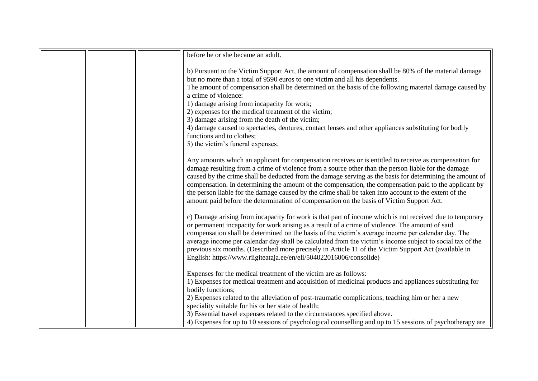| before he or she became an adult.                                                                                                                                                                                                                                                                                                                                                                                                                                                                                                                                                                                                        |
|------------------------------------------------------------------------------------------------------------------------------------------------------------------------------------------------------------------------------------------------------------------------------------------------------------------------------------------------------------------------------------------------------------------------------------------------------------------------------------------------------------------------------------------------------------------------------------------------------------------------------------------|
| b) Pursuant to the Victim Support Act, the amount of compensation shall be 80% of the material damage<br>but no more than a total of 9590 euros to one victim and all his dependents.<br>The amount of compensation shall be determined on the basis of the following material damage caused by                                                                                                                                                                                                                                                                                                                                          |
| a crime of violence:                                                                                                                                                                                                                                                                                                                                                                                                                                                                                                                                                                                                                     |
| 1) damage arising from incapacity for work;                                                                                                                                                                                                                                                                                                                                                                                                                                                                                                                                                                                              |
| 2) expenses for the medical treatment of the victim;                                                                                                                                                                                                                                                                                                                                                                                                                                                                                                                                                                                     |
| 3) damage arising from the death of the victim;                                                                                                                                                                                                                                                                                                                                                                                                                                                                                                                                                                                          |
| 4) damage caused to spectacles, dentures, contact lenses and other appliances substituting for bodily<br>functions and to clothes;                                                                                                                                                                                                                                                                                                                                                                                                                                                                                                       |
| 5) the victim's funeral expenses.                                                                                                                                                                                                                                                                                                                                                                                                                                                                                                                                                                                                        |
| Any amounts which an applicant for compensation receives or is entitled to receive as compensation for<br>damage resulting from a crime of violence from a source other than the person liable for the damage<br>caused by the crime shall be deducted from the damage serving as the basis for determining the amount of<br>compensation. In determining the amount of the compensation, the compensation paid to the applicant by<br>the person liable for the damage caused by the crime shall be taken into account to the extent of the<br>amount paid before the determination of compensation on the basis of Victim Support Act. |
| c) Damage arising from incapacity for work is that part of income which is not received due to temporary<br>or permanent incapacity for work arising as a result of a crime of violence. The amount of said<br>compensation shall be determined on the basis of the victim's average income per calendar day. The<br>average income per calendar day shall be calculated from the victim's income subject to social tax of the<br>previous six months. (Described more precisely in Article 11 of the Victim Support Act (available in<br>English: https://www.riigiteataja.ee/en/eli/504022016006/consolide)                            |
| Expenses for the medical treatment of the victim are as follows:<br>1) Expenses for medical treatment and acquisition of medicinal products and appliances substituting for<br>bodily functions;                                                                                                                                                                                                                                                                                                                                                                                                                                         |
| 2) Expenses related to the alleviation of post-traumatic complications, teaching him or her a new<br>speciality suitable for his or her state of health;                                                                                                                                                                                                                                                                                                                                                                                                                                                                                 |
| 3) Essential travel expenses related to the circumstances specified above.                                                                                                                                                                                                                                                                                                                                                                                                                                                                                                                                                               |
| 4) Expenses for up to 10 sessions of psychological counselling and up to 15 sessions of psychotherapy are                                                                                                                                                                                                                                                                                                                                                                                                                                                                                                                                |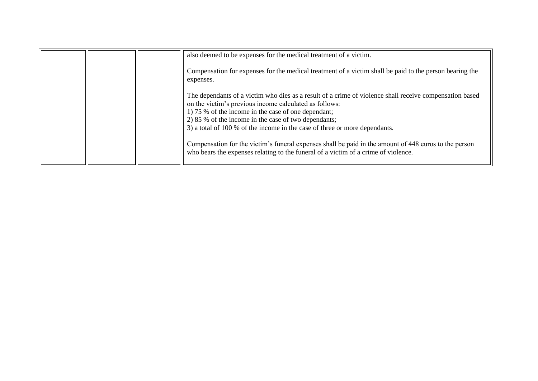|  | also deemed to be expenses for the medical treatment of a victim.                                                                                                                                                                                                                                                                                                                                                                                                       |
|--|-------------------------------------------------------------------------------------------------------------------------------------------------------------------------------------------------------------------------------------------------------------------------------------------------------------------------------------------------------------------------------------------------------------------------------------------------------------------------|
|  | Compensation for expenses for the medical treatment of a victim shall be paid to the person bearing the<br>expenses.                                                                                                                                                                                                                                                                                                                                                    |
|  | The dependants of a victim who dies as a result of a crime of violence shall receive compensation based<br>on the victim's previous income calculated as follows:<br>1) 75 % of the income in the case of one dependant;<br>2) 85 % of the income in the case of two dependants;<br>3) a total of 100 % of the income in the case of three or more dependants.<br>Compensation for the victim's funeral expenses shall be paid in the amount of 448 euros to the person |
|  | who bears the expenses relating to the funeral of a victim of a crime of violence.                                                                                                                                                                                                                                                                                                                                                                                      |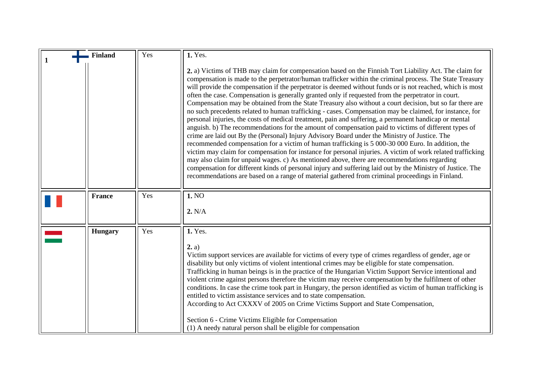<span id="page-9-2"></span><span id="page-9-1"></span><span id="page-9-0"></span>

| <b>Finland</b> | Yes | 1. Yes.                                                                                                                                                                                                                                                                                                                                                                                                                                                                                                                                                                                                                                                                                                                                                                                                                                                                                                                                                                                                                                                                                                                                                                                                                                                                                                                                                                                                                                                                                                           |
|----------------|-----|-------------------------------------------------------------------------------------------------------------------------------------------------------------------------------------------------------------------------------------------------------------------------------------------------------------------------------------------------------------------------------------------------------------------------------------------------------------------------------------------------------------------------------------------------------------------------------------------------------------------------------------------------------------------------------------------------------------------------------------------------------------------------------------------------------------------------------------------------------------------------------------------------------------------------------------------------------------------------------------------------------------------------------------------------------------------------------------------------------------------------------------------------------------------------------------------------------------------------------------------------------------------------------------------------------------------------------------------------------------------------------------------------------------------------------------------------------------------------------------------------------------------|
|                |     | 2. a) Victims of THB may claim for compensation based on the Finnish Tort Liability Act. The claim for<br>compensation is made to the perpetrator/human trafficker within the criminal process. The State Treasury<br>will provide the compensation if the perpetrator is deemed without funds or is not reached, which is most<br>often the case. Compensation is generally granted only if requested from the perpetrator in court.<br>Compensation may be obtained from the State Treasury also without a court decision, but so far there are<br>no such precedents related to human trafficking - cases. Compensation may be claimed, for instance, for<br>personal injuries, the costs of medical treatment, pain and suffering, a permanent handicap or mental<br>anguish. b) The recommendations for the amount of compensation paid to victims of different types of<br>crime are laid out By the (Personal) Injury Advisory Board under the Ministry of Justice. The<br>recommended compensation for a victim of human trafficking is 5 000-30 000 Euro. In addition, the<br>victim may claim for compensation for instance for personal injuries. A victim of work related trafficking<br>may also claim for unpaid wages. c) As mentioned above, there are recommendations regarding<br>compensation for different kinds of personal injury and suffering laid out by the Ministry of Justice. The<br>recommendations are based on a range of material gathered from criminal proceedings in Finland. |
| <b>France</b>  | Yes | 1. NO<br>2. N/A                                                                                                                                                                                                                                                                                                                                                                                                                                                                                                                                                                                                                                                                                                                                                                                                                                                                                                                                                                                                                                                                                                                                                                                                                                                                                                                                                                                                                                                                                                   |
| <b>Hungary</b> | Yes | 1. Yes.<br>2, a)<br>Victim support services are available for victims of every type of crimes regardless of gender, age or<br>disability but only victims of violent intentional crimes may be eligible for state compensation.<br>Trafficking in human beings is in the practice of the Hungarian Victim Support Service intentional and<br>violent crime against persons therefore the victim may receive compensation by the fulfilment of other<br>conditions. In case the crime took part in Hungary, the person identified as victim of human trafficking is<br>entitled to victim assistance services and to state compensation.<br>According to Act CXXXV of 2005 on Crime Victims Support and State Compensation,<br>Section 6 - Crime Victims Eligible for Compensation<br>(1) A needy natural person shall be eligible for compensation                                                                                                                                                                                                                                                                                                                                                                                                                                                                                                                                                                                                                                                                |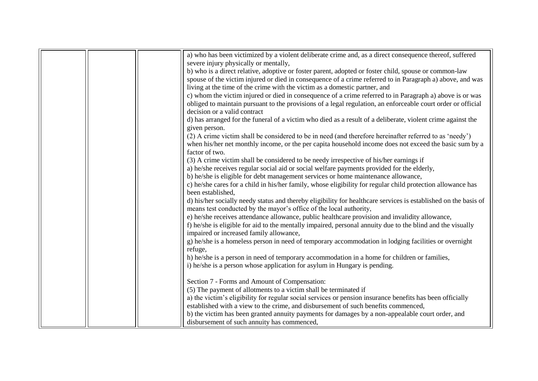|  | a) who has been victimized by a violent deliberate crime and, as a direct consequence thereof, suffered         |
|--|-----------------------------------------------------------------------------------------------------------------|
|  | severe injury physically or mentally,                                                                           |
|  | b) who is a direct relative, adoptive or foster parent, adopted or foster child, spouse or common-law           |
|  | spouse of the victim injured or died in consequence of a crime referred to in Paragraph a) above, and was       |
|  | living at the time of the crime with the victim as a domestic partner, and                                      |
|  | c) whom the victim injured or died in consequence of a crime referred to in Paragraph a) above is or was        |
|  | obliged to maintain pursuant to the provisions of a legal regulation, an enforceable court order or official    |
|  | decision or a valid contract                                                                                    |
|  | d) has arranged for the funeral of a victim who died as a result of a deliberate, violent crime against the     |
|  | given person.                                                                                                   |
|  | (2) A crime victim shall be considered to be in need (and therefore hereinafter referred to as 'needy')         |
|  | when his/her net monthly income, or the per capita household income does not exceed the basic sum by a          |
|  | factor of two.                                                                                                  |
|  | (3) A crime victim shall be considered to be needy irrespective of his/her earnings if                          |
|  | a) he/she receives regular social aid or social welfare payments provided for the elderly,                      |
|  | b) he/she is eligible for debt management services or home maintenance allowance,                               |
|  | c) he/she cares for a child in his/her family, whose eligibility for regular child protection allowance has     |
|  | been established,                                                                                               |
|  | d) his/her socially needy status and thereby eligibility for healthcare services is established on the basis of |
|  | means test conducted by the mayor's office of the local authority,                                              |
|  | e) he/she receives attendance allowance, public healthcare provision and invalidity allowance,                  |
|  | f) he/she is eligible for aid to the mentally impaired, personal annuity due to the blind and the visually      |
|  | impaired or increased family allowance,                                                                         |
|  | g) he/she is a homeless person in need of temporary accommodation in lodging facilities or overnight            |
|  | refuge,                                                                                                         |
|  | h) he/she is a person in need of temporary accommodation in a home for children or families,                    |
|  | i) he/she is a person whose application for asylum in Hungary is pending.                                       |
|  | Section 7 - Forms and Amount of Compensation:                                                                   |
|  | (5) The payment of allotments to a victim shall be terminated if                                                |
|  | a) the victim's eligibility for regular social services or pension insurance benefits has been officially       |
|  | established with a view to the crime, and disbursement of such benefits commenced,                              |
|  | b) the victim has been granted annuity payments for damages by a non-appealable court order, and                |
|  | disbursement of such annuity has commenced,                                                                     |
|  |                                                                                                                 |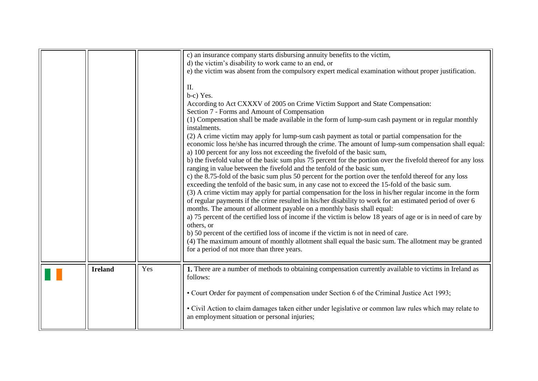<span id="page-11-0"></span>

|                |     | c) an insurance company starts disbursing annuity benefits to the victim,<br>d) the victim's disability to work came to an end, or<br>e) the victim was absent from the compulsory expert medical examination without proper justification.<br>Н.<br>b-c) Yes.<br>According to Act CXXXV of 2005 on Crime Victim Support and State Compensation:<br>Section 7 - Forms and Amount of Compensation<br>(1) Compensation shall be made available in the form of lump-sum cash payment or in regular monthly<br>instalments.<br>(2) A crime victim may apply for lump-sum cash payment as total or partial compensation for the<br>economic loss he/she has incurred through the crime. The amount of lump-sum compensation shall equal:<br>a) 100 percent for any loss not exceeding the fivefold of the basic sum,<br>b) the fivefold value of the basic sum plus 75 percent for the portion over the fivefold thereof for any loss<br>ranging in value between the fivefold and the tenfold of the basic sum,<br>c) the 8.75-fold of the basic sum plus 50 percent for the portion over the tenfold thereof for any loss<br>exceeding the tenfold of the basic sum, in any case not to exceed the 15-fold of the basic sum.<br>(3) A crime victim may apply for partial compensation for the loss in his/her regular income in the form<br>of regular payments if the crime resulted in his/her disability to work for an estimated period of over 6<br>months. The amount of allotment payable on a monthly basis shall equal:<br>a) 75 percent of the certified loss of income if the victim is below 18 years of age or is in need of care by<br>others, or<br>b) 50 percent of the certified loss of income if the victim is not in need of care.<br>(4) The maximum amount of monthly allotment shall equal the basic sum. The allotment may be granted<br>for a period of not more than three years. |
|----------------|-----|----------------------------------------------------------------------------------------------------------------------------------------------------------------------------------------------------------------------------------------------------------------------------------------------------------------------------------------------------------------------------------------------------------------------------------------------------------------------------------------------------------------------------------------------------------------------------------------------------------------------------------------------------------------------------------------------------------------------------------------------------------------------------------------------------------------------------------------------------------------------------------------------------------------------------------------------------------------------------------------------------------------------------------------------------------------------------------------------------------------------------------------------------------------------------------------------------------------------------------------------------------------------------------------------------------------------------------------------------------------------------------------------------------------------------------------------------------------------------------------------------------------------------------------------------------------------------------------------------------------------------------------------------------------------------------------------------------------------------------------------------------------------------------------------------------------------------------------------------------------------------------------------------------|
| <b>Ireland</b> | Yes | 1. There are a number of methods to obtaining compensation currently available to victims in Ireland as<br>follows:<br>• Court Order for payment of compensation under Section 6 of the Criminal Justice Act 1993;<br>• Civil Action to claim damages taken either under legislative or common law rules which may relate to<br>an employment situation or personal injuries;                                                                                                                                                                                                                                                                                                                                                                                                                                                                                                                                                                                                                                                                                                                                                                                                                                                                                                                                                                                                                                                                                                                                                                                                                                                                                                                                                                                                                                                                                                                            |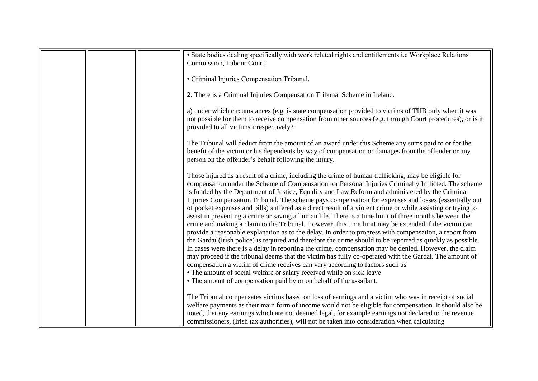|  | • State bodies dealing specifically with work related rights and entitlements i.e Workplace Relations<br>Commission, Labour Court;                                                                                                                                                                                                                                                                                                                                                                                                                                                                                                                                                                                                                                                                                                                                                                                                                                                                                                                                                                                                                                                                                                                                                                                                                                                                                                       |
|--|------------------------------------------------------------------------------------------------------------------------------------------------------------------------------------------------------------------------------------------------------------------------------------------------------------------------------------------------------------------------------------------------------------------------------------------------------------------------------------------------------------------------------------------------------------------------------------------------------------------------------------------------------------------------------------------------------------------------------------------------------------------------------------------------------------------------------------------------------------------------------------------------------------------------------------------------------------------------------------------------------------------------------------------------------------------------------------------------------------------------------------------------------------------------------------------------------------------------------------------------------------------------------------------------------------------------------------------------------------------------------------------------------------------------------------------|
|  | • Criminal Injuries Compensation Tribunal.                                                                                                                                                                                                                                                                                                                                                                                                                                                                                                                                                                                                                                                                                                                                                                                                                                                                                                                                                                                                                                                                                                                                                                                                                                                                                                                                                                                               |
|  | 2. There is a Criminal Injuries Compensation Tribunal Scheme in Ireland.                                                                                                                                                                                                                                                                                                                                                                                                                                                                                                                                                                                                                                                                                                                                                                                                                                                                                                                                                                                                                                                                                                                                                                                                                                                                                                                                                                 |
|  | a) under which circumstances (e.g. is state compensation provided to victims of THB only when it was<br>not possible for them to receive compensation from other sources (e.g. through Court procedures), or is it<br>provided to all victims irrespectively?                                                                                                                                                                                                                                                                                                                                                                                                                                                                                                                                                                                                                                                                                                                                                                                                                                                                                                                                                                                                                                                                                                                                                                            |
|  | The Tribunal will deduct from the amount of an award under this Scheme any sums paid to or for the<br>benefit of the victim or his dependents by way of compensation or damages from the offender or any<br>person on the offender's behalf following the injury.                                                                                                                                                                                                                                                                                                                                                                                                                                                                                                                                                                                                                                                                                                                                                                                                                                                                                                                                                                                                                                                                                                                                                                        |
|  | Those injured as a result of a crime, including the crime of human trafficking, may be eligible for<br>compensation under the Scheme of Compensation for Personal Injuries Criminally Inflicted. The scheme<br>is funded by the Department of Justice, Equality and Law Reform and administered by the Criminal<br>Injuries Compensation Tribunal. The scheme pays compensation for expenses and losses (essentially out<br>of pocket expenses and bills) suffered as a direct result of a violent crime or while assisting or trying to<br>assist in preventing a crime or saving a human life. There is a time limit of three months between the<br>crime and making a claim to the Tribunal. However, this time limit may be extended if the victim can<br>provide a reasonable explanation as to the delay. In order to progress with compensation, a report from<br>the Gardaí (Irish police) is required and therefore the crime should to be reported as quickly as possible.<br>In cases were there is a delay in reporting the crime, compensation may be denied. However, the claim<br>may proceed if the tribunal deems that the victim has fully co-operated with the Gardaí. The amount of<br>compensation a victim of crime receives can vary according to factors such as<br>• The amount of social welfare or salary received while on sick leave<br>• The amount of compensation paid by or on behalf of the assailant. |
|  | The Tribunal compensates victims based on loss of earnings and a victim who was in receipt of social<br>welfare payments as their main form of income would not be eligible for compensation. It should also be<br>noted, that any earnings which are not deemed legal, for example earnings not declared to the revenue<br>commissioners, (Irish tax authorities), will not be taken into consideration when calculating                                                                                                                                                                                                                                                                                                                                                                                                                                                                                                                                                                                                                                                                                                                                                                                                                                                                                                                                                                                                                |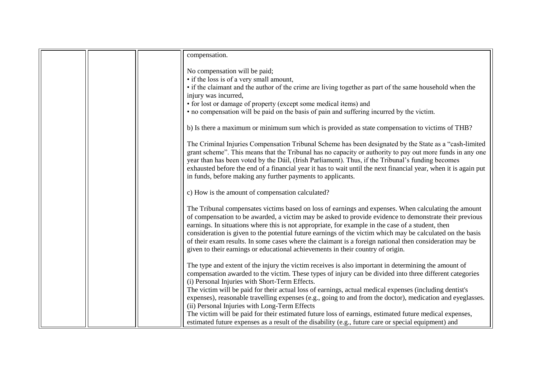|  | compensation.                                                                                                                                                                                                  |
|--|----------------------------------------------------------------------------------------------------------------------------------------------------------------------------------------------------------------|
|  |                                                                                                                                                                                                                |
|  | No compensation will be paid;                                                                                                                                                                                  |
|  | • if the loss is of a very small amount,                                                                                                                                                                       |
|  | • if the claimant and the author of the crime are living together as part of the same household when the                                                                                                       |
|  | injury was incurred,                                                                                                                                                                                           |
|  | • for lost or damage of property (except some medical items) and                                                                                                                                               |
|  | • no compensation will be paid on the basis of pain and suffering incurred by the victim.                                                                                                                      |
|  |                                                                                                                                                                                                                |
|  | b) Is there a maximum or minimum sum which is provided as state compensation to victims of THB?                                                                                                                |
|  |                                                                                                                                                                                                                |
|  | The Criminal Injuries Compensation Tribunal Scheme has been designated by the State as a "cash-limited"                                                                                                        |
|  | grant scheme". This means that the Tribunal has no capacity or authority to pay out more funds in any one<br>year than has been voted by the Dáil, (Irish Parliament). Thus, if the Tribunal's funding becomes |
|  | exhausted before the end of a financial year it has to wait until the next financial year, when it is again put                                                                                                |
|  | in funds, before making any further payments to applicants.                                                                                                                                                    |
|  |                                                                                                                                                                                                                |
|  | c) How is the amount of compensation calculated?                                                                                                                                                               |
|  |                                                                                                                                                                                                                |
|  | The Tribunal compensates victims based on loss of earnings and expenses. When calculating the amount                                                                                                           |
|  | of compensation to be awarded, a victim may be asked to provide evidence to demonstrate their previous                                                                                                         |
|  | earnings. In situations where this is not appropriate, for example in the case of a student, then                                                                                                              |
|  | consideration is given to the potential future earnings of the victim which may be calculated on the basis                                                                                                     |
|  | of their exam results. In some cases where the claimant is a foreign national then consideration may be<br>given to their earnings or educational achievements in their country of origin.                     |
|  |                                                                                                                                                                                                                |
|  | The type and extent of the injury the victim receives is also important in determining the amount of                                                                                                           |
|  | compensation awarded to the victim. These types of injury can be divided into three different categories                                                                                                       |
|  | (i) Personal Injuries with Short-Term Effects.                                                                                                                                                                 |
|  | The victim will be paid for their actual loss of earnings, actual medical expenses (including dentist's                                                                                                        |
|  | expenses), reasonable travelling expenses (e.g., going to and from the doctor), medication and eyeglasses.                                                                                                     |
|  | (ii) Personal Injuries with Long-Term Effects                                                                                                                                                                  |
|  | The victim will be paid for their estimated future loss of earnings, estimated future medical expenses,                                                                                                        |
|  | estimated future expenses as a result of the disability (e.g., future care or special equipment) and                                                                                                           |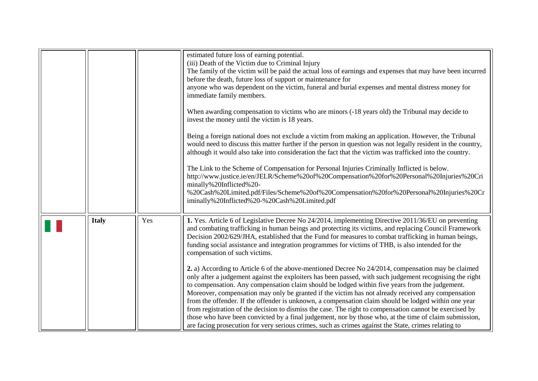<span id="page-14-0"></span>

|              |     | estimated future loss of earning potential.<br>(iii) Death of the Victim due to Criminal Injury<br>The family of the victim will be paid the actual loss of earnings and expenses that may have been incurred<br>before the death, future loss of support or maintenance for<br>anyone who was dependent on the victim, funeral and burial expenses and mental distress money for<br>immediate family members.<br>When awarding compensation to victims who are minors (-18 years old) the Tribunal may decide to<br>invest the money until the victim is 18 years.<br>Being a foreign national does not exclude a victim from making an application. However, the Tribunal<br>would need to discuss this matter further if the person in question was not legally resident in the country,<br>although it would also take into consideration the fact that the victim was trafficked into the country.<br>The Link to the Scheme of Compensation for Personal Injuries Criminally Inflicted is below.<br>http://www.justice.ie/en/JELR/Scheme%20of%20Compensation%20for%20Personal%20Injuries%20Cri<br>minally%20Inflicted%20-<br>%20Cash%20Limited.pdf/Files/Scheme%20of%20Compensation%20for%20Personal%20Injuries%20Cr<br>iminally%20Inflicted%20-%20Cash%20Limited.pdf                                               |
|--------------|-----|---------------------------------------------------------------------------------------------------------------------------------------------------------------------------------------------------------------------------------------------------------------------------------------------------------------------------------------------------------------------------------------------------------------------------------------------------------------------------------------------------------------------------------------------------------------------------------------------------------------------------------------------------------------------------------------------------------------------------------------------------------------------------------------------------------------------------------------------------------------------------------------------------------------------------------------------------------------------------------------------------------------------------------------------------------------------------------------------------------------------------------------------------------------------------------------------------------------------------------------------------------------------------------------------------------------------------|
| <b>Italy</b> | Yes | 1. Yes. Article 6 of Legislative Decree No 24/2014, implementing Directive 2011/36/EU on preventing<br>and combating trafficking in human beings and protecting its victims, and replacing Council Framework<br>Decision 2002/629/JHA, established that the Fund for measures to combat trafficking in human beings,<br>funding social assistance and integration programmes for victims of THB, is also intended for the<br>compensation of such victims.<br>2. a) According to Article 6 of the above-mentioned Decree No 24/2014, compensation may be claimed<br>only after a judgement against the exploiters has been passed, with such judgement recognising the right<br>to compensation. Any compensation claim should be lodged within five years from the judgement.<br>Moreover, compensation may only be granted if the victim has not already received any compensation<br>from the offender. If the offender is unknown, a compensation claim should be lodged within one year<br>from registration of the decision to dismiss the case. The right to compensation cannot be exercised by<br>those who have been convicted by a final judgement, nor by those who, at the time of claim submission,<br>are facing prosecution for very serious crimes, such as crimes against the State, crimes relating to |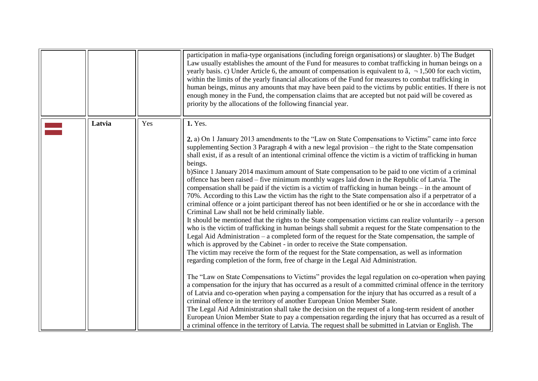<span id="page-15-0"></span>

|        |     | participation in mafia-type organisations (including foreign organisations) or slaughter. b) The Budget<br>Law usually establishes the amount of the Fund for measures to combat trafficking in human beings on a<br>yearly basis. c) Under Article 6, the amount of compensation is equivalent to $\hat{a}$ , $\neg$ 1,500 for each victim,<br>within the limits of the yearly financial allocations of the Fund for measures to combat trafficking in<br>human beings, minus any amounts that may have been paid to the victims by public entities. If there is not<br>enough money in the Fund, the compensation claims that are accepted but not paid will be covered as<br>priority by the allocations of the following financial year.                                                                                                                                                                                                                                                                                                                                                                                                                                                                                                                                                                                                                                                                                                                                                                                                                                                                                                                                                                                                                                                                                                                                                                                                                                                                                                                                                                                                                                                                                                                                                                            |
|--------|-----|-------------------------------------------------------------------------------------------------------------------------------------------------------------------------------------------------------------------------------------------------------------------------------------------------------------------------------------------------------------------------------------------------------------------------------------------------------------------------------------------------------------------------------------------------------------------------------------------------------------------------------------------------------------------------------------------------------------------------------------------------------------------------------------------------------------------------------------------------------------------------------------------------------------------------------------------------------------------------------------------------------------------------------------------------------------------------------------------------------------------------------------------------------------------------------------------------------------------------------------------------------------------------------------------------------------------------------------------------------------------------------------------------------------------------------------------------------------------------------------------------------------------------------------------------------------------------------------------------------------------------------------------------------------------------------------------------------------------------------------------------------------------------------------------------------------------------------------------------------------------------------------------------------------------------------------------------------------------------------------------------------------------------------------------------------------------------------------------------------------------------------------------------------------------------------------------------------------------------------------------------------------------------------------------------------------------------|
| Latvia | Yes | 1. Yes.<br>2. a) On 1 January 2013 amendments to the "Law on State Compensations to Victims" came into force<br>supplementing Section 3 Paragraph 4 with a new legal provision – the right to the State compensation<br>shall exist, if as a result of an intentional criminal offence the victim is a victim of trafficking in human<br>beings.<br>b)Since 1 January 2014 maximum amount of State compensation to be paid to one victim of a criminal<br>offence has been raised – five minimum monthly wages laid down in the Republic of Latvia. The<br>compensation shall be paid if the victim is a victim of trafficking in human beings $-$ in the amount of<br>70%. According to this Law the victim has the right to the State compensation also if a perpetrator of a<br>criminal offence or a joint participant thereof has not been identified or he or she in accordance with the<br>Criminal Law shall not be held criminally liable.<br>It should be mentioned that the rights to the State compensation victims can realize voluntarily $-$ a person<br>who is the victim of trafficking in human beings shall submit a request for the State compensation to the<br>Legal Aid Administration – a completed form of the request for the State compensation, the sample of<br>which is approved by the Cabinet - in order to receive the State compensation.<br>The victim may receive the form of the request for the State compensation, as well as information<br>regarding completion of the form, free of charge in the Legal Aid Administration.<br>The "Law on State Compensations to Victims" provides the legal regulation on co-operation when paying<br>a compensation for the injury that has occurred as a result of a committed criminal offence in the territory<br>of Latvia and co-operation when paying a compensation for the injury that has occurred as a result of a<br>criminal offence in the territory of another European Union Member State.<br>The Legal Aid Administration shall take the decision on the request of a long-term resident of another<br>European Union Member State to pay a compensation regarding the injury that has occurred as a result of<br>a criminal offence in the territory of Latvia. The request shall be submitted in Latvian or English. The |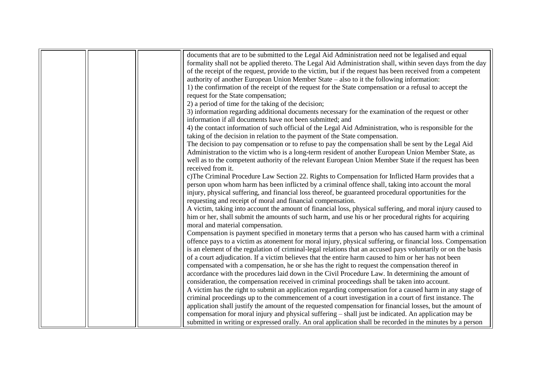|  | documents that are to be submitted to the Legal Aid Administration need not be legalised and equal           |
|--|--------------------------------------------------------------------------------------------------------------|
|  | formality shall not be applied thereto. The Legal Aid Administration shall, within seven days from the day   |
|  | of the receipt of the request, provide to the victim, but if the request has been received from a competent  |
|  | authority of another European Union Member State – also to it the following information:                     |
|  | 1) the confirmation of the receipt of the request for the State compensation or a refusal to accept the      |
|  | request for the State compensation;                                                                          |
|  | 2) a period of time for the taking of the decision;                                                          |
|  | 3) information regarding additional documents necessary for the examination of the request or other          |
|  | information if all documents have not been submitted; and                                                    |
|  | 4) the contact information of such official of the Legal Aid Administration, who is responsible for the      |
|  | taking of the decision in relation to the payment of the State compensation.                                 |
|  | The decision to pay compensation or to refuse to pay the compensation shall be sent by the Legal Aid         |
|  | Administration to the victim who is a long-term resident of another European Union Member State, as          |
|  | well as to the competent authority of the relevant European Union Member State if the request has been       |
|  | received from it.                                                                                            |
|  | c) The Criminal Procedure Law Section 22. Rights to Compensation for Inflicted Harm provides that a          |
|  | person upon whom harm has been inflicted by a criminal offence shall, taking into account the moral          |
|  | injury, physical suffering, and financial loss thereof, be guaranteed procedural opportunities for the       |
|  | requesting and receipt of moral and financial compensation.                                                  |
|  | A victim, taking into account the amount of financial loss, physical suffering, and moral injury caused to   |
|  | him or her, shall submit the amounts of such harm, and use his or her procedural rights for acquiring        |
|  | moral and material compensation.                                                                             |
|  | Compensation is payment specified in monetary terms that a person who has caused harm with a criminal        |
|  | offence pays to a victim as atonement for moral injury, physical suffering, or financial loss. Compensation  |
|  | is an element of the regulation of criminal-legal relations that an accused pays voluntarily or on the basis |
|  | of a court adjudication. If a victim believes that the entire harm caused to him or her has not been         |
|  | compensated with a compensation, he or she has the right to request the compensation thereof in              |
|  | accordance with the procedures laid down in the Civil Procedure Law. In determining the amount of            |
|  | consideration, the compensation received in criminal proceedings shall be taken into account.                |
|  | A victim has the right to submit an application regarding compensation for a caused harm in any stage of     |
|  | criminal proceedings up to the commencement of a court investigation in a court of first instance. The       |
|  | application shall justify the amount of the requested compensation for financial losses, but the amount of   |
|  | compensation for moral injury and physical suffering – shall just be indicated. An application may be        |
|  | submitted in writing or expressed orally. An oral application shall be recorded in the minutes by a person   |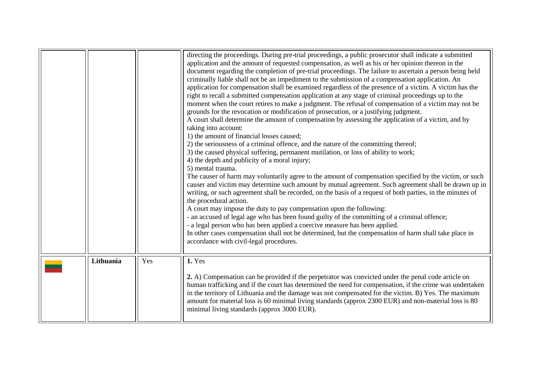<span id="page-17-0"></span>

|           |     | directing the proceedings. During pre-trial proceedings, a public prosecutor shall indicate a submitted<br>application and the amount of requested compensation, as well as his or her opinion thereon in the                                                                                                                                                            |
|-----------|-----|--------------------------------------------------------------------------------------------------------------------------------------------------------------------------------------------------------------------------------------------------------------------------------------------------------------------------------------------------------------------------|
|           |     | document regarding the completion of pre-trial proceedings. The failure to ascertain a person being held<br>criminally liable shall not be an impediment to the submission of a compensation application. An                                                                                                                                                             |
|           |     | application for compensation shall be examined regardless of the presence of a victim. A victim has the                                                                                                                                                                                                                                                                  |
|           |     | right to recall a submitted compensation application at any stage of criminal proceedings up to the                                                                                                                                                                                                                                                                      |
|           |     | moment when the court retires to make a judgment. The refusal of compensation of a victim may not be                                                                                                                                                                                                                                                                     |
|           |     | grounds for the revocation or modification of prosecution, or a justifying judgment.                                                                                                                                                                                                                                                                                     |
|           |     | A court shall determine the amount of compensation by assessing the application of a victim, and by                                                                                                                                                                                                                                                                      |
|           |     | taking into account:<br>1) the amount of financial losses caused;                                                                                                                                                                                                                                                                                                        |
|           |     | 2) the seriousness of a criminal offence, and the nature of the committing thereof;                                                                                                                                                                                                                                                                                      |
|           |     | 3) the caused physical suffering, permanent mutilation, or loss of ability to work;                                                                                                                                                                                                                                                                                      |
|           |     | 4) the depth and publicity of a moral injury;                                                                                                                                                                                                                                                                                                                            |
|           |     | 5) mental trauma.                                                                                                                                                                                                                                                                                                                                                        |
|           |     | The causer of harm may voluntarily agree to the amount of compensation specified by the victim, or such                                                                                                                                                                                                                                                                  |
|           |     | causer and victim may determine such amount by mutual agreement. Such agreement shall be drawn up in                                                                                                                                                                                                                                                                     |
|           |     | writing, or such agreement shall be recorded, on the basis of a request of both parties, in the minutes of                                                                                                                                                                                                                                                               |
|           |     | the procedural action.                                                                                                                                                                                                                                                                                                                                                   |
|           |     | A court may impose the duty to pay compensation upon the following:                                                                                                                                                                                                                                                                                                      |
|           |     | - an accused of legal age who has been found guilty of the committing of a criminal offence;<br>- a legal person who has been applied a coercive measure has been applied.                                                                                                                                                                                               |
|           |     | In other cases compensation shall not be determined, but the compensation of harm shall take place in                                                                                                                                                                                                                                                                    |
|           |     | accordance with civil-legal procedures.                                                                                                                                                                                                                                                                                                                                  |
|           |     |                                                                                                                                                                                                                                                                                                                                                                          |
| Lithuania | Yes | 1. Yes                                                                                                                                                                                                                                                                                                                                                                   |
|           |     |                                                                                                                                                                                                                                                                                                                                                                          |
|           |     | 2. A) Compensation can be provided if the perpetrator was convicted under the penal code article on                                                                                                                                                                                                                                                                      |
|           |     |                                                                                                                                                                                                                                                                                                                                                                          |
|           |     |                                                                                                                                                                                                                                                                                                                                                                          |
|           |     |                                                                                                                                                                                                                                                                                                                                                                          |
|           |     |                                                                                                                                                                                                                                                                                                                                                                          |
|           |     | human trafficking and if the court has determined the need for compensation, if the crime was undertaken<br>in the territory of Lithuania and the damage was not compensated for the victim. B) Yes. The maximum<br>amount for material loss is 60 minimal living standards (approx 2300 EUR) and non-material loss is 80<br>minimal living standards (approx 3000 EUR). |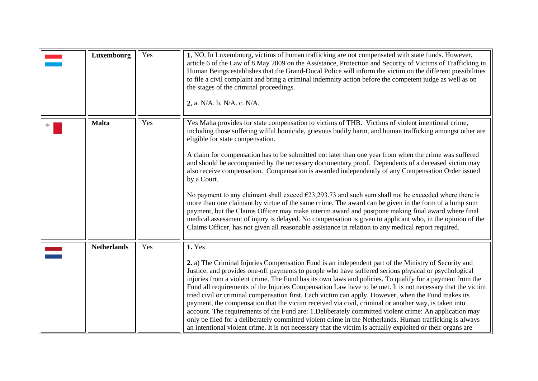<span id="page-18-2"></span><span id="page-18-1"></span><span id="page-18-0"></span>

| Luxembourg         | Yes | 1. NO. In Luxembourg, victims of human trafficking are not compensated with state funds. However,<br>article 6 of the Law of 8 May 2009 on the Assistance, Protection and Security of Victims of Trafficking in<br>Human Beings establishes that the Grand-Ducal Police will inform the victim on the different possibilities<br>to file a civil complaint and bring a criminal indemnity action before the competent judge as well as on<br>the stages of the criminal proceedings.<br>2. a. N/A. b. N/A. c. N/A.                                                                                                                                                                                                                                                                                                                                                                                                                                                                                                                                                                                                                       |
|--------------------|-----|------------------------------------------------------------------------------------------------------------------------------------------------------------------------------------------------------------------------------------------------------------------------------------------------------------------------------------------------------------------------------------------------------------------------------------------------------------------------------------------------------------------------------------------------------------------------------------------------------------------------------------------------------------------------------------------------------------------------------------------------------------------------------------------------------------------------------------------------------------------------------------------------------------------------------------------------------------------------------------------------------------------------------------------------------------------------------------------------------------------------------------------|
| <b>Malta</b>       | Yes | Yes Malta provides for state compensation to victims of THB. Victims of violent intentional crime,<br>including those suffering wilful homicide, grievous bodily harm, and human trafficking amongst other are<br>eligible for state compensation.<br>A claim for compensation has to be submitted not later than one year from when the crime was suffered<br>and should be accompanied by the necessary documentary proof. Dependents of a deceased victim may<br>also receive compensation. Compensation is awarded independently of any Compensation Order issued<br>by a Court.<br>No payment to any claimant shall exceed $\epsilon$ 23,293.73 and such sum shall not be exceeded where there is<br>more than one claimant by virtue of the same crime. The award can be given in the form of a lump sum<br>payment, but the Claims Officer may make interim award and postpone making final award where final<br>medical assessment of injury is delayed. No compensation is given to applicant who, in the opinion of the<br>Claims Officer, has not given all reasonable assistance in relation to any medical report required. |
| <b>Netherlands</b> | Yes | 1. Yes<br>2. a) The Criminal Injuries Compensation Fund is an independent part of the Ministry of Security and<br>Justice, and provides one-off payments to people who have suffered serious physical or psychological<br>injuries from a violent crime. The Fund has its own laws and policies. To qualify for a payment from the<br>Fund all requirements of the Injuries Compensation Law have to be met. It is not necessary that the victim<br>tried civil or criminal compensation first. Each victim can apply. However, when the Fund makes its<br>payment, the compensation that the victim received via civil, criminal or another way, is taken into<br>account. The requirements of the Fund are: 1. Deliberately committed violent crime: An application may<br>only be filed for a deliberately committed violent crime in the Netherlands. Human trafficking is always<br>an intentional violent crime. It is not necessary that the victim is actually exploited or their organs are                                                                                                                                     |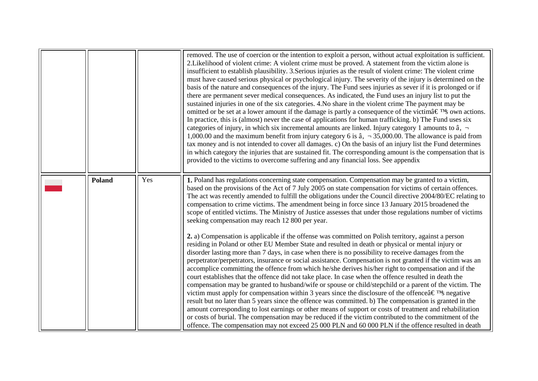<span id="page-19-0"></span>

|               |     | removed. The use of coercion or the intention to exploit a person, without actual exploitation is sufficient.<br>2. Likelihood of violent crime: A violent crime must be proved. A statement from the victim alone is<br>insufficient to establish plausibility. 3. Serious injuries as the result of violent crime: The violent crime<br>must have caused serious physical or psychological injury. The severity of the injury is determined on the<br>basis of the nature and consequences of the injury. The Fund sees injuries as sever if it is prolonged or if<br>there are permanent sever medical consequences. As indicated, the Fund uses an injury list to put the<br>sustained injuries in one of the six categories. 4. No share in the violent crime The payment may be<br>omitted or be set at a lower amount if the damage is partly a consequence of the victima $\in \mathbb{N}$ own actions.<br>In practice, this is (almost) never the case of applications for human trafficking. b) The Fund uses six<br>categories of injury, in which six incremental amounts are linked. Injury category 1 amounts to $\hat{a}$ , $\neg$<br>1,000.00 and the maximum benefit from injury category 6 is $\hat{a}$ , $\neg$ 35,000.00. The allowance is paid from<br>tax money and is not intended to cover all damages. c) On the basis of an injury list the Fund determines<br>in which category the injuries that are sustained fit. The corresponding amount is the compensation that is<br>provided to the victims to overcome suffering and any financial loss. See appendix                                                                                                                                                                                                                                                                                                                                               |
|---------------|-----|------------------------------------------------------------------------------------------------------------------------------------------------------------------------------------------------------------------------------------------------------------------------------------------------------------------------------------------------------------------------------------------------------------------------------------------------------------------------------------------------------------------------------------------------------------------------------------------------------------------------------------------------------------------------------------------------------------------------------------------------------------------------------------------------------------------------------------------------------------------------------------------------------------------------------------------------------------------------------------------------------------------------------------------------------------------------------------------------------------------------------------------------------------------------------------------------------------------------------------------------------------------------------------------------------------------------------------------------------------------------------------------------------------------------------------------------------------------------------------------------------------------------------------------------------------------------------------------------------------------------------------------------------------------------------------------------------------------------------------------------------------------------------------------------------------------------------------------------------------------------------------------------------------------------------------------|
| <b>Poland</b> | Yes | 1. Poland has regulations concerning state compensation. Compensation may be granted to a victim,<br>based on the provisions of the Act of 7 July 2005 on state compensation for victims of certain offences.<br>The act was recently amended to fulfill the obligations under the Council directive 2004/80/EC relating to<br>compensation to crime victims. The amendment being in force since 13 January 2015 broadened the<br>scope of entitled victims. The Ministry of Justice assesses that under those regulations number of victims<br>seeking compensation may reach 12 800 per year.<br>2. a) Compensation is applicable if the offense was committed on Polish territory, against a person<br>residing in Poland or other EU Member State and resulted in death or physical or mental injury or<br>disorder lasting more than 7 days, in case when there is no possibility to receive damages from the<br>perpetrator/perpetrators, insurance or social assistance. Compensation is not granted if the victim was an<br>accomplice committing the offence from which he/she derives his/her right to compensation and if the<br>court establishes that the offence did not take place. In case when the offence resulted in death the<br>compensation may be granted to husband/wife or spouse or child/stepchild or a parent of the victim. The<br>victim must apply for compensation within 3 years since the disclosure of the offence $\hat{\mathbf{z}} \in \mathbb{N}$ negative<br>result but no later than 5 years since the offence was committed. b) The compensation is granted in the<br>amount corresponding to lost earnings or other means of support or costs of treatment and rehabilitation<br>or costs of burial. The compensation may be reduced if the victim contributed to the commitment of the<br>offence. The compensation may not exceed 25 000 PLN and 60 000 PLN if the offence resulted in death |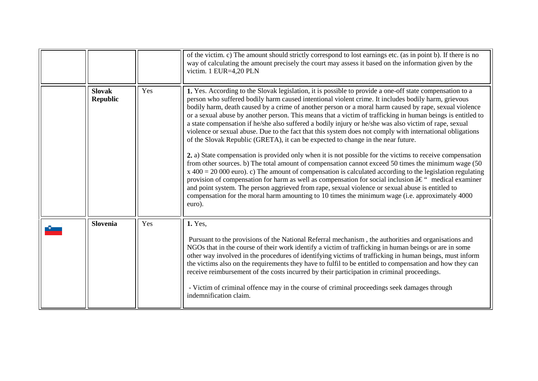<span id="page-20-1"></span><span id="page-20-0"></span>

|                                  |     | of the victim. c) The amount should strictly correspond to lost earnings etc. (as in point b). If there is no<br>way of calculating the amount precisely the court may assess it based on the information given by the<br>victim. 1 EUR=4,20 PLN                                                                                                                                                                                                                                                                                                                                                                                                                                                                                                                                                                                                                                                                                                                                                                                                                                                                                                                                                                                                                                                                                                                                                                                  |
|----------------------------------|-----|-----------------------------------------------------------------------------------------------------------------------------------------------------------------------------------------------------------------------------------------------------------------------------------------------------------------------------------------------------------------------------------------------------------------------------------------------------------------------------------------------------------------------------------------------------------------------------------------------------------------------------------------------------------------------------------------------------------------------------------------------------------------------------------------------------------------------------------------------------------------------------------------------------------------------------------------------------------------------------------------------------------------------------------------------------------------------------------------------------------------------------------------------------------------------------------------------------------------------------------------------------------------------------------------------------------------------------------------------------------------------------------------------------------------------------------|
| <b>Slovak</b><br><b>Republic</b> | Yes | 1. Yes. According to the Slovak legislation, it is possible to provide a one-off state compensation to a<br>person who suffered bodily harm caused intentional violent crime. It includes bodily harm, grievous<br>bodily harm, death caused by a crime of another person or a moral harm caused by rape, sexual violence<br>or a sexual abuse by another person. This means that a victim of trafficking in human beings is entitled to<br>a state compensation if he/she also suffered a bodily injury or he/she was also victim of rape, sexual<br>violence or sexual abuse. Due to the fact that this system does not comply with international obligations<br>of the Slovak Republic (GRETA), it can be expected to change in the near future.<br>2. a) State compensation is provided only when it is not possible for the victims to receive compensation<br>from other sources. b) The total amount of compensation cannot exceed 50 times the minimum wage (50<br>$x$ 400 = 20 000 euro). c) The amount of compensation is calculated according to the legislation regulating<br>provision of compensation for harm as well as compensation for social inclusion $\hat{a} \in \hat{C}$ medical examiner<br>and point system. The person aggrieved from rape, sexual violence or sexual abuse is entitled to<br>compensation for the moral harm amounting to 10 times the minimum wage (i.e. approximately 4000<br>euro). |
| Slovenia                         | Yes | 1. Yes,<br>Pursuant to the provisions of the National Referral mechanism, the authorities and organisations and<br>NGOs that in the course of their work identify a victim of trafficking in human beings or are in some<br>other way involved in the procedures of identifying victims of trafficking in human beings, must inform<br>the victims also on the requirements they have to fulfil to be entitled to compensation and how they can<br>receive reimbursement of the costs incurred by their participation in criminal proceedings.<br>- Victim of criminal offence may in the course of criminal proceedings seek damages through<br>indemnification claim.                                                                                                                                                                                                                                                                                                                                                                                                                                                                                                                                                                                                                                                                                                                                                           |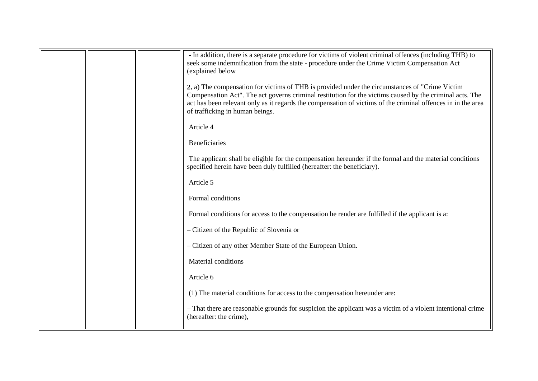|  | - In addition, there is a separate procedure for victims of violent criminal offences (including THB) to<br>seek some indemnification from the state - procedure under the Crime Victim Compensation Act<br>(explained below                                                                                                                                   |
|--|----------------------------------------------------------------------------------------------------------------------------------------------------------------------------------------------------------------------------------------------------------------------------------------------------------------------------------------------------------------|
|  | 2. a) The compensation for victims of THB is provided under the circumstances of "Crime Victim"<br>Compensation Act". The act governs criminal restitution for the victims caused by the criminal acts. The<br>act has been relevant only as it regards the compensation of victims of the criminal offences in in the area<br>of trafficking in human beings. |
|  | Article 4                                                                                                                                                                                                                                                                                                                                                      |
|  | <b>Beneficiaries</b>                                                                                                                                                                                                                                                                                                                                           |
|  | The applicant shall be eligible for the compensation hereunder if the formal and the material conditions<br>specified herein have been duly fulfilled (hereafter: the beneficiary).                                                                                                                                                                            |
|  | Article 5                                                                                                                                                                                                                                                                                                                                                      |
|  | Formal conditions                                                                                                                                                                                                                                                                                                                                              |
|  | Formal conditions for access to the compensation he render are fulfilled if the applicant is a:                                                                                                                                                                                                                                                                |
|  | - Citizen of the Republic of Slovenia or                                                                                                                                                                                                                                                                                                                       |
|  | - Citizen of any other Member State of the European Union.                                                                                                                                                                                                                                                                                                     |
|  | Material conditions                                                                                                                                                                                                                                                                                                                                            |
|  | Article 6                                                                                                                                                                                                                                                                                                                                                      |
|  | (1) The material conditions for access to the compensation hereunder are:                                                                                                                                                                                                                                                                                      |
|  | - That there are reasonable grounds for suspicion the applicant was a victim of a violent intentional crime<br>(hereafter: the crime),                                                                                                                                                                                                                         |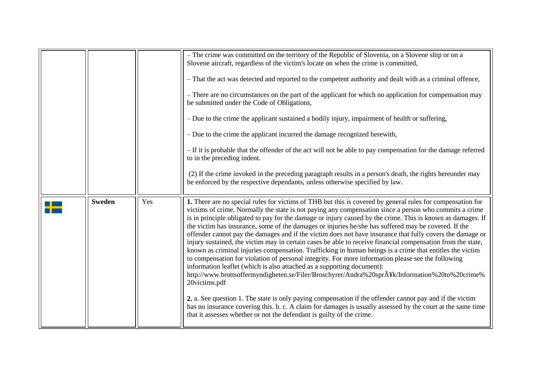<span id="page-22-0"></span>

|               |     | - The crime was committed on the territory of the Republic of Slovenia, on a Slovene ship or on a<br>Slovene aircraft, regardless of the victim's locate on when the crime is committed,                                                                                                                                                                                                                                                                                                                                                                                                                                                                                                                                                                                                                                                                                                                                                                                                                                                                                                                                                                                                                                                                                                                                                                                                               |
|---------------|-----|--------------------------------------------------------------------------------------------------------------------------------------------------------------------------------------------------------------------------------------------------------------------------------------------------------------------------------------------------------------------------------------------------------------------------------------------------------------------------------------------------------------------------------------------------------------------------------------------------------------------------------------------------------------------------------------------------------------------------------------------------------------------------------------------------------------------------------------------------------------------------------------------------------------------------------------------------------------------------------------------------------------------------------------------------------------------------------------------------------------------------------------------------------------------------------------------------------------------------------------------------------------------------------------------------------------------------------------------------------------------------------------------------------|
|               |     | - That the act was detected and reported to the competent authority and dealt with as a criminal offence,                                                                                                                                                                                                                                                                                                                                                                                                                                                                                                                                                                                                                                                                                                                                                                                                                                                                                                                                                                                                                                                                                                                                                                                                                                                                                              |
|               |     | - There are no circumstances on the part of the applicant for which no application for compensation may<br>be submitted under the Code of Obligations,                                                                                                                                                                                                                                                                                                                                                                                                                                                                                                                                                                                                                                                                                                                                                                                                                                                                                                                                                                                                                                                                                                                                                                                                                                                 |
|               |     | - Due to the crime the applicant sustained a bodily injury, impairment of health or suffering,                                                                                                                                                                                                                                                                                                                                                                                                                                                                                                                                                                                                                                                                                                                                                                                                                                                                                                                                                                                                                                                                                                                                                                                                                                                                                                         |
|               |     | - Due to the crime the applicant incurred the damage recognized herewith,                                                                                                                                                                                                                                                                                                                                                                                                                                                                                                                                                                                                                                                                                                                                                                                                                                                                                                                                                                                                                                                                                                                                                                                                                                                                                                                              |
|               |     | - If it is probable that the offender of the act will not be able to pay compensation for the damage referred<br>to in the preceding indent.                                                                                                                                                                                                                                                                                                                                                                                                                                                                                                                                                                                                                                                                                                                                                                                                                                                                                                                                                                                                                                                                                                                                                                                                                                                           |
|               |     | (2) If the crime invoked in the preceding paragraph results in a person's death, the rights hereunder may<br>be enforced by the respective dependants, unless otherwise specified by law.                                                                                                                                                                                                                                                                                                                                                                                                                                                                                                                                                                                                                                                                                                                                                                                                                                                                                                                                                                                                                                                                                                                                                                                                              |
| <b>Sweden</b> | Yes | 1. There are no special rules for victims of THB but this is covered by general rules for compensation for<br>victims of crime. Normally the state is not paying any compensation since a person who commits a crime<br>is in principle obligated to pay for the damage or injury caused by the crime. This is known as damages. If<br>the victim has insurance, some of the damages or injuries he/she has suffered may be covered. If the<br>offender cannot pay the damages and if the victim does not have insurance that fully covers the damage or<br>injury sustained, the victim may in certain cases be able to receive financial compensation from the state,<br>known as criminal injuries compensation. Trafficking in human beings is a crime that entitles the victim<br>to compensation for violation of personal integrity. For more information please see the following<br>information leaflet (which is also attached as a supporting document):<br>http://www.brottsoffermyndigheten.se/Filer/Broschyrer/Andra%20spr $\tilde{A}$ ¥k/Information%20to%20crime%<br>20victims.pdf<br>2. a. See question 1. The state is only paying compensation if the offender cannot pay and if the victim<br>has no insurance covering this. b. c. A claim for damages is usually assessed by the court at the same time<br>that it assesses whether or not the defendant is guilty of the crime. |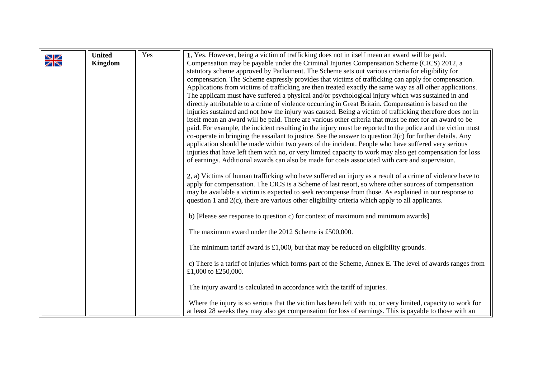<span id="page-23-0"></span>

|             | <b>United</b>  | Yes | 1. Yes. However, being a victim of trafficking does not in itself mean an award will be paid.                                                                                                               |
|-------------|----------------|-----|-------------------------------------------------------------------------------------------------------------------------------------------------------------------------------------------------------------|
| $\geqslant$ | <b>Kingdom</b> |     | Compensation may be payable under the Criminal Injuries Compensation Scheme (CICS) 2012, a                                                                                                                  |
|             |                |     | statutory scheme approved by Parliament. The Scheme sets out various criteria for eligibility for                                                                                                           |
|             |                |     | compensation. The Scheme expressly provides that victims of trafficking can apply for compensation.                                                                                                         |
|             |                |     | Applications from victims of trafficking are then treated exactly the same way as all other applications.                                                                                                   |
|             |                |     | The applicant must have suffered a physical and/or psychological injury which was sustained in and                                                                                                          |
|             |                |     | directly attributable to a crime of violence occurring in Great Britain. Compensation is based on the                                                                                                       |
|             |                |     | injuries sustained and not how the injury was caused. Being a victim of trafficking therefore does not in                                                                                                   |
|             |                |     | itself mean an award will be paid. There are various other criteria that must be met for an award to be                                                                                                     |
|             |                |     | paid. For example, the incident resulting in the injury must be reported to the police and the victim must                                                                                                  |
|             |                |     | co-operate in bringing the assailant to justice. See the answer to question $2(c)$ for further details. Any                                                                                                 |
|             |                |     | application should be made within two years of the incident. People who have suffered very serious                                                                                                          |
|             |                |     | injuries that have left them with no, or very limited capacity to work may also get compensation for loss                                                                                                   |
|             |                |     | of earnings. Additional awards can also be made for costs associated with care and supervision.                                                                                                             |
|             |                |     |                                                                                                                                                                                                             |
|             |                |     | 2. a) Victims of human trafficking who have suffered an injury as a result of a crime of violence have to                                                                                                   |
|             |                |     | apply for compensation. The CICS is a Scheme of last resort, so where other sources of compensation<br>may be available a victim is expected to seek recompense from those. As explained in our response to |
|             |                |     | question 1 and $2(c)$ , there are various other eligibility criteria which apply to all applicants.                                                                                                         |
|             |                |     |                                                                                                                                                                                                             |
|             |                |     | b) [Please see response to question c) for context of maximum and minimum awards]                                                                                                                           |
|             |                |     | The maximum award under the 2012 Scheme is £500,000.                                                                                                                                                        |
|             |                |     | The minimum tariff award is $£1,000$ , but that may be reduced on eligibility grounds.                                                                                                                      |
|             |                |     |                                                                                                                                                                                                             |
|             |                |     | c) There is a tariff of injuries which forms part of the Scheme, Annex E. The level of awards ranges from                                                                                                   |
|             |                |     | £1,000 to £250,000.                                                                                                                                                                                         |
|             |                |     |                                                                                                                                                                                                             |
|             |                |     | The injury award is calculated in accordance with the tariff of injuries.                                                                                                                                   |
|             |                |     | Where the injury is so serious that the victim has been left with no, or very limited, capacity to work for                                                                                                 |
|             |                |     | at least 28 weeks they may also get compensation for loss of earnings. This is payable to those with an                                                                                                     |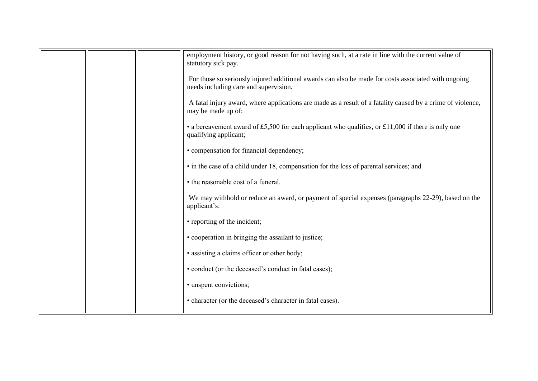|  | employment history, or good reason for not having such, at a rate in line with the current value of<br>statutory sick pay.                   |
|--|----------------------------------------------------------------------------------------------------------------------------------------------|
|  | For those so seriously injured additional awards can also be made for costs associated with ongoing<br>needs including care and supervision. |
|  | A fatal injury award, where applications are made as a result of a fatality caused by a crime of violence,<br>may be made up of:             |
|  | • a bereavement award of £5,500 for each applicant who qualifies, or £11,000 if there is only one<br>qualifying applicant;                   |
|  | • compensation for financial dependency;                                                                                                     |
|  | • in the case of a child under 18, compensation for the loss of parental services; and                                                       |
|  | • the reasonable cost of a funeral.                                                                                                          |
|  | We may withhold or reduce an award, or payment of special expenses (paragraphs 22-29), based on the<br>applicant's:                          |
|  | • reporting of the incident;                                                                                                                 |
|  | • cooperation in bringing the assailant to justice;                                                                                          |
|  | • assisting a claims officer or other body;                                                                                                  |
|  | • conduct (or the deceased's conduct in fatal cases);                                                                                        |
|  | • unspent convictions;                                                                                                                       |
|  | • character (or the deceased's character in fatal cases).                                                                                    |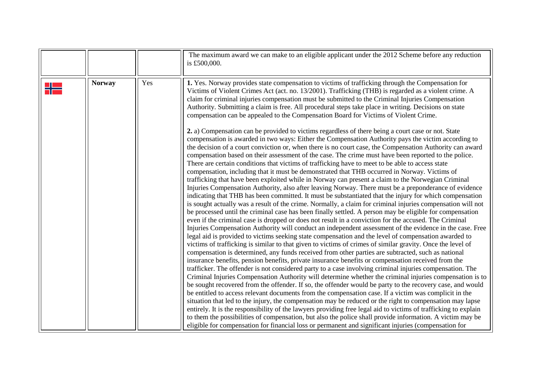<span id="page-25-0"></span>

|   |               |     | The maximum award we can make to an eligible applicant under the 2012 Scheme before any reduction<br>is £500,000.                                                                                                                                                                                                                                                                                                                                                                                                                                                                                                                                                                                                                                                                                                                                                                                                                                                                                                                                                                                                                                                                                                                                                                                                                                                                                                                                                                                                                                                                                                                                                                                                                                                                                                                                                                                                                                                                                                                                                                                                                                                                                                                                                                                                                                                                                                                                                                                                                                                                                                                                                                                                                                                                                              |
|---|---------------|-----|----------------------------------------------------------------------------------------------------------------------------------------------------------------------------------------------------------------------------------------------------------------------------------------------------------------------------------------------------------------------------------------------------------------------------------------------------------------------------------------------------------------------------------------------------------------------------------------------------------------------------------------------------------------------------------------------------------------------------------------------------------------------------------------------------------------------------------------------------------------------------------------------------------------------------------------------------------------------------------------------------------------------------------------------------------------------------------------------------------------------------------------------------------------------------------------------------------------------------------------------------------------------------------------------------------------------------------------------------------------------------------------------------------------------------------------------------------------------------------------------------------------------------------------------------------------------------------------------------------------------------------------------------------------------------------------------------------------------------------------------------------------------------------------------------------------------------------------------------------------------------------------------------------------------------------------------------------------------------------------------------------------------------------------------------------------------------------------------------------------------------------------------------------------------------------------------------------------------------------------------------------------------------------------------------------------------------------------------------------------------------------------------------------------------------------------------------------------------------------------------------------------------------------------------------------------------------------------------------------------------------------------------------------------------------------------------------------------------------------------------------------------------------------------------------------------|
| ╉ | <b>Norway</b> | Yes | 1. Yes. Norway provides state compensation to victims of trafficking through the Compensation for<br>Victims of Violent Crimes Act (act. no. 13/2001). Trafficking (THB) is regarded as a violent crime. A<br>claim for criminal injuries compensation must be submitted to the Criminal Injuries Compensation<br>Authority. Submitting a claim is free. All procedural steps take place in writing. Decisions on state<br>compensation can be appealed to the Compensation Board for Victims of Violent Crime.<br>2. a) Compensation can be provided to victims regardless of there being a court case or not. State<br>compensation is awarded in two ways: Either the Compensation Authority pays the victim according to<br>the decision of a court conviction or, when there is no court case, the Compensation Authority can award<br>compensation based on their assessment of the case. The crime must have been reported to the police.<br>There are certain conditions that victims of trafficking have to meet to be able to access state<br>compensation, including that it must be demonstrated that THB occurred in Norway. Victims of<br>trafficking that have been exploited while in Norway can present a claim to the Norwegian Criminal<br>Injuries Compensation Authority, also after leaving Norway. There must be a preponderance of evidence<br>indicating that THB has been committed. It must be substantiated that the injury for which compensation<br>is sought actually was a result of the crime. Normally, a claim for criminal injuries compensation will not<br>be processed until the criminal case has been finally settled. A person may be eligible for compensation<br>even if the criminal case is dropped or does not result in a conviction for the accused. The Criminal<br>Injuries Compensation Authority will conduct an independent assessment of the evidence in the case. Free<br>legal aid is provided to victims seeking state compensation and the level of compensation awarded to<br>victims of trafficking is similar to that given to victims of crimes of similar gravity. Once the level of<br>compensation is determined, any funds received from other parties are subtracted, such as national<br>insurance benefits, pension benefits, private insurance benefits or compensation received from the<br>trafficker. The offender is not considered party to a case involving criminal injuries compensation. The<br>Criminal Injuries Compensation Authority will determine whether the criminal injuries compensation is to<br>be sought recovered from the offender. If so, the offender would be party to the recovery case, and would<br>be entitled to access relevant documents from the compensation case. If a victim was complicit in the |
|   |               |     | situation that led to the injury, the compensation may be reduced or the right to compensation may lapse<br>entirely. It is the responsibility of the lawyers providing free legal aid to victims of trafficking to explain<br>to them the possibilities of compensation, but also the police shall provide information. A victim may be<br>eligible for compensation for financial loss or permanent and significant injuries (compensation for                                                                                                                                                                                                                                                                                                                                                                                                                                                                                                                                                                                                                                                                                                                                                                                                                                                                                                                                                                                                                                                                                                                                                                                                                                                                                                                                                                                                                                                                                                                                                                                                                                                                                                                                                                                                                                                                                                                                                                                                                                                                                                                                                                                                                                                                                                                                                               |